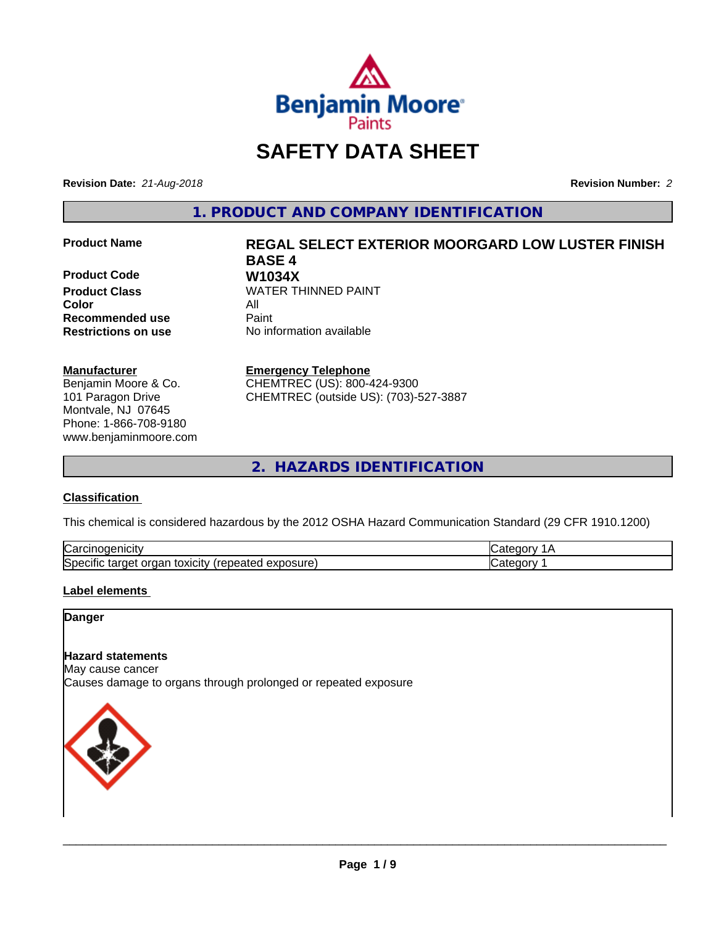

# **SAFETY DATA SHEET**

**Revision Date:** *21-Aug-2018* **Revision Number:** *2*

**1. PRODUCT AND COMPANY IDENTIFICATION**

**Product Code W1034X**<br>**Product Class** WATER TH **Color** All **Recommended use Caint** 

#### **Manufacturer**

Benjamin Moore & Co. 101 Paragon Drive Montvale, NJ 07645 Phone: 1-866-708-9180 www.benjaminmoore.com

# **Product Name REGAL SELECT EXTERIOR MOORGARD LOW LUSTER FINISH BASE 4 WATER THINNED PAINT**

**Restrictions on use** No information available

**Emergency Telephone**

CHEMTREC (US): 800-424-9300 CHEMTREC (outside US): (703)-527-3887

**2. HAZARDS IDENTIFICATION**

### **Classification**

This chemical is considered hazardous by the 2012 OSHA Hazard Communication Standard (29 CFR 1910.1200)

| ⌒<br>Nai<br>nicitv                                                                   |  |
|--------------------------------------------------------------------------------------|--|
| lSpe<br>.<br>-----<br>∴∪XICItV<br>- - -<br>ovr<br>™exposure.<br>าลเ<br>0e<br>eneater |  |

### **Label elements**

#### **Danger**

# **Hazard statements**

May cause cancer Causes damage to organs through prolonged or repeated exposure

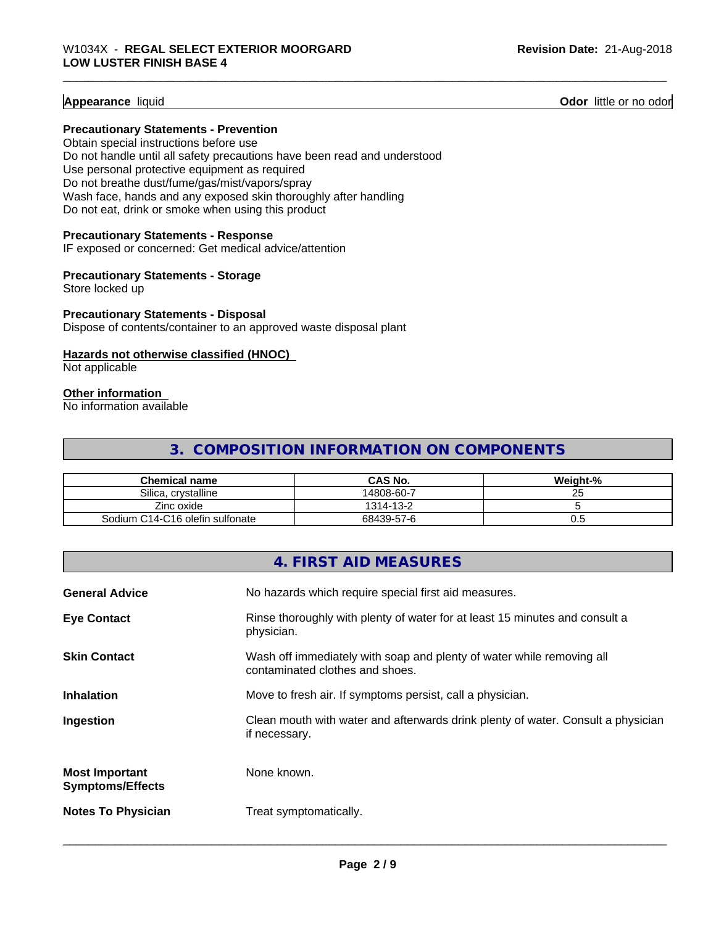**Appearance** liquid **Contract Contract Contract Contract Contract Contract Contract Contract Contract Contract Contract Contract Contract Contract Contract Contract Contract Contract Contract Contract Contract Contract Con** 

#### **Precautionary Statements - Prevention**

Obtain special instructions before use Do not handle until all safety precautions have been read and understood Use personal protective equipment as required Do not breathe dust/fume/gas/mist/vapors/spray Wash face, hands and any exposed skin thoroughly after handling Do not eat, drink or smoke when using this product

#### **Precautionary Statements - Response**

IF exposed or concerned: Get medical advice/attention

#### **Precautionary Statements - Storage**

Store locked up

#### **Precautionary Statements - Disposal**

Dispose of contents/container to an approved waste disposal plant

#### **Hazards not otherwise classified (HNOC)**

Not applicable

#### **Other information**

No information available

# **3. COMPOSITION INFORMATION ON COMPONENTS**

| <b>Chemical name</b>            | <b>CAS No.</b> | Weight-%         |
|---------------------------------|----------------|------------------|
| Silica.<br>. crvstalline        | 14808-60-7     | $\sim$ $-$<br>ΔU |
| Zinc oxide                      | 1314-13-2      |                  |
| Sodium C14-C16 olefin sulfonate | 68439-57-6     | v.u              |

|                                                  | 4. FIRST AID MEASURES                                                                                    |
|--------------------------------------------------|----------------------------------------------------------------------------------------------------------|
| <b>General Advice</b>                            | No hazards which require special first aid measures.                                                     |
| <b>Eye Contact</b>                               | Rinse thoroughly with plenty of water for at least 15 minutes and consult a<br>physician.                |
| <b>Skin Contact</b>                              | Wash off immediately with soap and plenty of water while removing all<br>contaminated clothes and shoes. |
| <b>Inhalation</b>                                | Move to fresh air. If symptoms persist, call a physician.                                                |
| Ingestion                                        | Clean mouth with water and afterwards drink plenty of water. Consult a physician<br>if necessary.        |
| <b>Most Important</b><br><b>Symptoms/Effects</b> | None known.                                                                                              |
| <b>Notes To Physician</b>                        | Treat symptomatically.                                                                                   |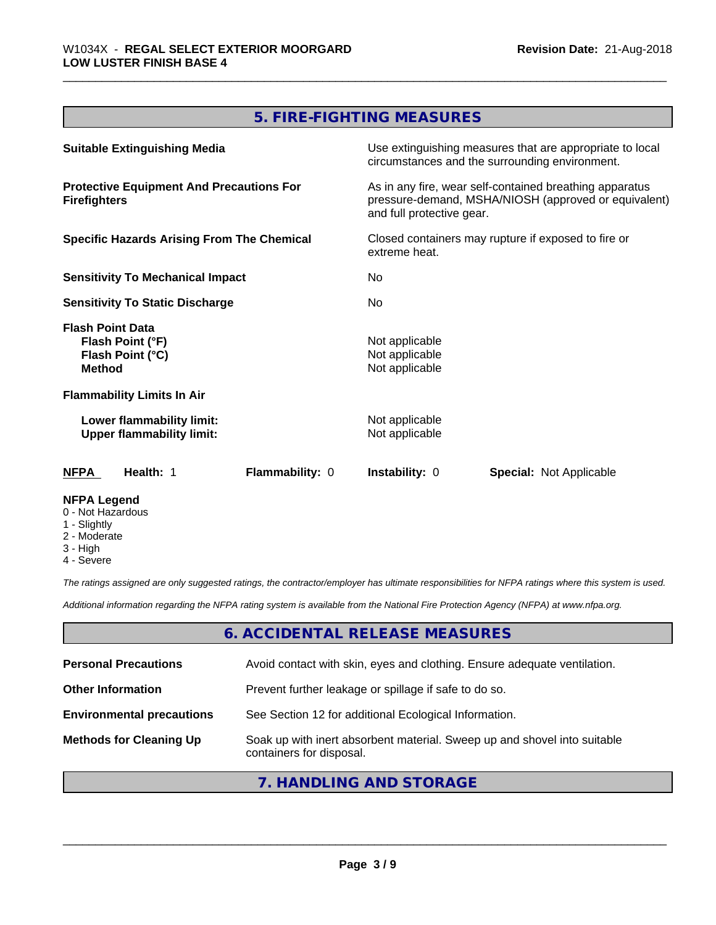# **5. FIRE-FIGHTING MEASURES**

| <b>Suitable Extinguishing Media</b>                                              | Use extinguishing measures that are appropriate to local<br>circumstances and the surrounding environment.                                   |
|----------------------------------------------------------------------------------|----------------------------------------------------------------------------------------------------------------------------------------------|
| <b>Protective Equipment And Precautions For</b><br><b>Firefighters</b>           | As in any fire, wear self-contained breathing apparatus<br>pressure-demand, MSHA/NIOSH (approved or equivalent)<br>and full protective gear. |
| <b>Specific Hazards Arising From The Chemical</b>                                | Closed containers may rupture if exposed to fire or<br>extreme heat.                                                                         |
| <b>Sensitivity To Mechanical Impact</b>                                          | No.                                                                                                                                          |
| <b>Sensitivity To Static Discharge</b>                                           | No.                                                                                                                                          |
| <b>Flash Point Data</b><br>Flash Point (°F)<br>Flash Point (°C)<br><b>Method</b> | Not applicable<br>Not applicable<br>Not applicable                                                                                           |
| <b>Flammability Limits In Air</b>                                                |                                                                                                                                              |
| Lower flammability limit:<br><b>Upper flammability limit:</b>                    | Not applicable<br>Not applicable                                                                                                             |
| <b>Flammability: 0</b><br><b>NFPA</b><br>Health: 1                               | <b>Instability: 0</b><br><b>Special: Not Applicable</b>                                                                                      |
| <b>NFPA Legend</b><br>0 - Not Hazardous<br>1 - Slightly                          |                                                                                                                                              |

- 2 Moderate
- 3 High
- 4 Severe

*The ratings assigned are only suggested ratings, the contractor/employer has ultimate responsibilities for NFPA ratings where this system is used.*

*Additional information regarding the NFPA rating system is available from the National Fire Protection Agency (NFPA) at www.nfpa.org.*

## **6. ACCIDENTAL RELEASE MEASURES**

| <b>Personal Precautions</b>      | Avoid contact with skin, eyes and clothing. Ensure adequate ventilation.                             |
|----------------------------------|------------------------------------------------------------------------------------------------------|
| <b>Other Information</b>         | Prevent further leakage or spillage if safe to do so.                                                |
| <b>Environmental precautions</b> | See Section 12 for additional Ecological Information.                                                |
| <b>Methods for Cleaning Up</b>   | Soak up with inert absorbent material. Sweep up and shovel into suitable<br>containers for disposal. |

# **7. HANDLING AND STORAGE**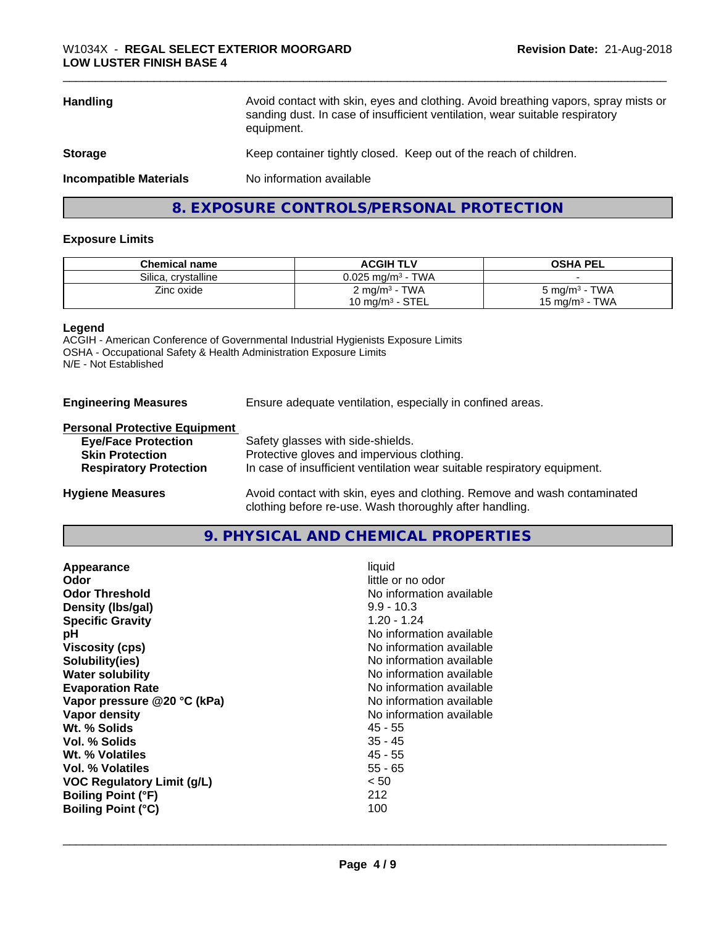| <b>Handling</b>               | Avoid contact with skin, eyes and clothing. Avoid breathing vapors, spray mists or<br>sanding dust. In case of insufficient ventilation, wear suitable respiratory<br>equipment. |  |
|-------------------------------|----------------------------------------------------------------------------------------------------------------------------------------------------------------------------------|--|
| <b>Storage</b>                | Keep container tightly closed. Keep out of the reach of children.                                                                                                                |  |
| <b>Incompatible Materials</b> | No information available                                                                                                                                                         |  |
|                               | 8. EXPOSURE CONTROLS/PERSONAL PROTECTION                                                                                                                                         |  |

#### **Exposure Limits**

| <b>Chemical name</b> | <b>ACGIH TLV</b>                | <b>OSHA PEL</b>           |
|----------------------|---------------------------------|---------------------------|
| Silica, crystalline  | $0.025$ mg/m <sup>3</sup> - TWA |                           |
| Zinc oxide           | $2 \text{ mg/m}^3$ - TWA        | $5 \text{ mg/m}^3$ - TWA  |
|                      | $10 \text{ mg/m}^3$ - STEL      | $15 \text{ mg/m}^3$ - TWA |

#### **Legend**

ACGIH - American Conference of Governmental Industrial Hygienists Exposure Limits OSHA - Occupational Safety & Health Administration Exposure Limits N/E - Not Established

**Engineering Measures** Ensure adequate ventilation, especially in confined areas.

#### **Personal Protective Equipment**

| <b>Eye/Face Protection</b>    | Safety glasses with side-shields.                                                                                |
|-------------------------------|------------------------------------------------------------------------------------------------------------------|
| <b>Skin Protection</b>        | Protective gloves and impervious clothing.                                                                       |
| <b>Respiratory Protection</b> | In case of insufficient ventilation wear suitable respiratory equipment.                                         |
|                               | As a full decomposition of the component of all the fields. For a component section of the contract of the field |

**Hygiene Measures** Avoid contact with skin, eyes and clothing. Remove and wash contaminated clothing before re-use. Wash thoroughly after handling.

# **9. PHYSICAL AND CHEMICAL PROPERTIES**

| Appearance                        | liquid                   |
|-----------------------------------|--------------------------|
| Odor                              | little or no odor        |
| <b>Odor Threshold</b>             | No information available |
| Density (Ibs/gal)                 | $9.9 - 10.3$             |
| <b>Specific Gravity</b>           | $1.20 - 1.24$            |
| рH                                | No information available |
| <b>Viscosity (cps)</b>            | No information available |
| Solubility(ies)                   | No information available |
| <b>Water solubility</b>           | No information available |
| <b>Evaporation Rate</b>           | No information available |
| Vapor pressure @20 °C (kPa)       | No information available |
| Vapor density                     | No information available |
| Wt. % Solids                      | 45 - 55                  |
| Vol. % Solids                     | 35 - 45                  |
| Wt. % Volatiles                   | 45 - 55                  |
| Vol. % Volatiles                  | $55 - 65$                |
| <b>VOC Regulatory Limit (g/L)</b> | < 50                     |
| <b>Boiling Point (°F)</b>         | 212                      |
| <b>Boiling Point (°C)</b>         | 100                      |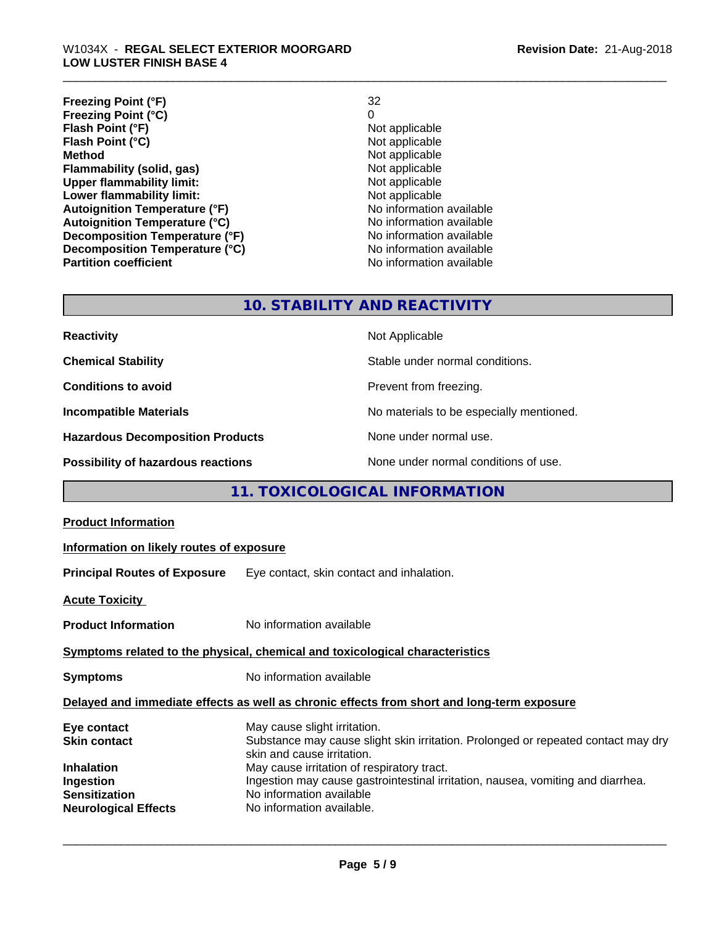| <b>Freezing Point (°F)</b>           | 32                       |
|--------------------------------------|--------------------------|
| <b>Freezing Point (°C)</b>           | 0                        |
| Flash Point (°F)                     | Not applicable           |
| Flash Point (°C)                     | Not applicable           |
| <b>Method</b>                        | Not applicable           |
| Flammability (solid, gas)            | Not applicable           |
| <b>Upper flammability limit:</b>     | Not applicable           |
| Lower flammability limit:            | Not applicable           |
| <b>Autoignition Temperature (°F)</b> | No information available |
| <b>Autoignition Temperature (°C)</b> | No information available |
| Decomposition Temperature (°F)       | No information available |
| Decomposition Temperature (°C)       | No information available |
| <b>Partition coefficient</b>         | No information available |

# **10. STABILITY AND REACTIVITY**

| <b>Reactivity</b>                       | Not Applicable                           |
|-----------------------------------------|------------------------------------------|
| <b>Chemical Stability</b>               | Stable under normal conditions.          |
| <b>Conditions to avoid</b>              | Prevent from freezing.                   |
| <b>Incompatible Materials</b>           | No materials to be especially mentioned. |
| <b>Hazardous Decomposition Products</b> | None under normal use.                   |
| Possibility of hazardous reactions      | None under normal conditions of use.     |

# **11. TOXICOLOGICAL INFORMATION**

| Information on likely routes of exposure                                                                                                                                                                                                                                                                                                  |  |  |
|-------------------------------------------------------------------------------------------------------------------------------------------------------------------------------------------------------------------------------------------------------------------------------------------------------------------------------------------|--|--|
| <b>Principal Routes of Exposure</b> Eye contact, skin contact and inhalation.                                                                                                                                                                                                                                                             |  |  |
|                                                                                                                                                                                                                                                                                                                                           |  |  |
| No information available                                                                                                                                                                                                                                                                                                                  |  |  |
| Symptoms related to the physical, chemical and toxicological characteristics                                                                                                                                                                                                                                                              |  |  |
| No information available                                                                                                                                                                                                                                                                                                                  |  |  |
| Delayed and immediate effects as well as chronic effects from short and long-term exposure                                                                                                                                                                                                                                                |  |  |
| May cause slight irritation.<br>Substance may cause slight skin irritation. Prolonged or repeated contact may dry<br>skin and cause irritation.<br>May cause irritation of respiratory tract.<br>Ingestion may cause gastrointestinal irritation, nausea, vomiting and diarrhea.<br>No information available<br>No information available. |  |  |
|                                                                                                                                                                                                                                                                                                                                           |  |  |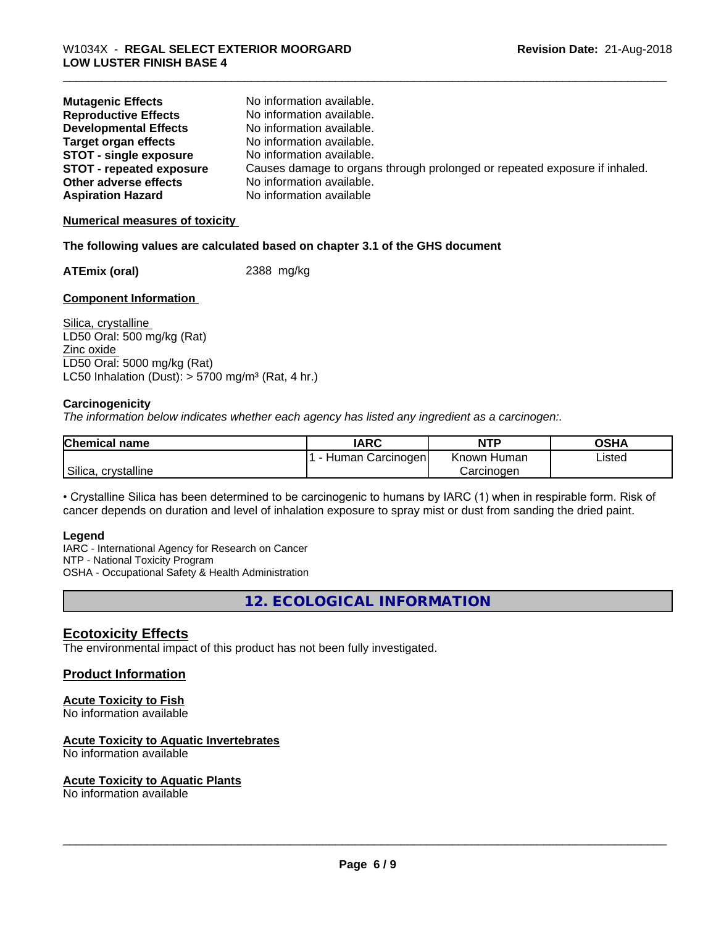| <b>Mutagenic Effects</b>        | No information available.                                                  |
|---------------------------------|----------------------------------------------------------------------------|
| <b>Reproductive Effects</b>     | No information available.                                                  |
| <b>Developmental Effects</b>    | No information available.                                                  |
| <b>Target organ effects</b>     | No information available.                                                  |
| <b>STOT - single exposure</b>   | No information available.                                                  |
| <b>STOT - repeated exposure</b> | Causes damage to organs through prolonged or repeated exposure if inhaled. |
| Other adverse effects           | No information available.                                                  |
| <b>Aspiration Hazard</b>        | No information available                                                   |

#### **Numerical measures of toxicity**

#### **The following values are calculated based on chapter 3.1 of the GHS document**

**ATEmix (oral)** 2388 mg/kg

#### **Component Information**

Silica, crystalline LD50 Oral: 500 mg/kg (Rat) Zinc oxide LD50 Oral: 5000 mg/kg (Rat) LC50 Inhalation (Dust):  $> 5700$  mg/m<sup>3</sup> (Rat, 4 hr.)

#### **Carcinogenicity**

*The information below indicateswhether each agency has listed any ingredient as a carcinogen:.*

| <b>Chemical name</b>   | <b>IARC</b>            | <b>NTP</b>     | OSHA   |
|------------------------|------------------------|----------------|--------|
|                        | Human Carcinogen!<br>- | Known<br>Human | Listed |
| Silica,<br>crvstalline |                        | Carcinoɑen     |        |

• Crystalline Silica has been determined to be carcinogenic to humans by IARC (1) when in respirable form. Risk of cancer depends on duration and level of inhalation exposure to spray mist or dust from sanding the dried paint.

#### **Legend**

IARC - International Agency for Research on Cancer NTP - National Toxicity Program OSHA - Occupational Safety & Health Administration

**12. ECOLOGICAL INFORMATION**

### **Ecotoxicity Effects**

The environmental impact of this product has not been fully investigated.

# **Product Information**

#### **Acute Toxicity to Fish**

No information available

#### **Acute Toxicity to Aquatic Invertebrates**

No information available

#### **Acute Toxicity to Aquatic Plants**

No information available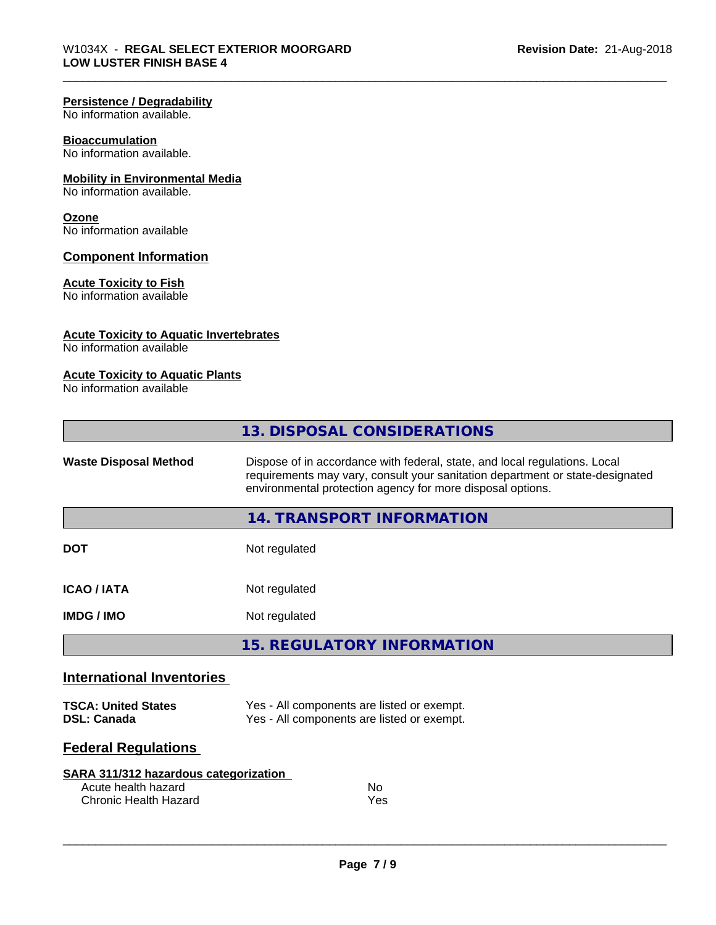#### **Persistence / Degradability**

No information available.

#### **Bioaccumulation**

No information available.

#### **Mobility in Environmental Media**

No information available.

#### **Ozone**

No information available

#### **Component Information**

#### **Acute Toxicity to Fish**

No information available

#### **Acute Toxicity to Aquatic Invertebrates**

No information available

# **Acute Toxicity to Aquatic Plants**

No information available

|                                                  | 13. DISPOSAL CONSIDERATIONS                                                                                                                                                                                               |
|--------------------------------------------------|---------------------------------------------------------------------------------------------------------------------------------------------------------------------------------------------------------------------------|
| <b>Waste Disposal Method</b>                     | Dispose of in accordance with federal, state, and local regulations. Local<br>requirements may vary, consult your sanitation department or state-designated<br>environmental protection agency for more disposal options. |
|                                                  | 14. TRANSPORT INFORMATION                                                                                                                                                                                                 |
| <b>DOT</b>                                       | Not regulated                                                                                                                                                                                                             |
| <b>ICAO/IATA</b>                                 | Not regulated                                                                                                                                                                                                             |
| <b>IMDG/IMO</b>                                  | Not regulated                                                                                                                                                                                                             |
|                                                  | <b>15. REGULATORY INFORMATION</b>                                                                                                                                                                                         |
| <b>International Inventories</b>                 |                                                                                                                                                                                                                           |
| <b>TSCA: United States</b><br><b>DSL: Canada</b> | Yes - All components are listed or exempt.<br>Yes - All components are listed or exempt.                                                                                                                                  |

# **Federal Regulations**

| SARA 311/312 hazardous categorization |     |  |
|---------------------------------------|-----|--|
| Acute health hazard                   | No. |  |
| Chronic Health Hazard                 | Yes |  |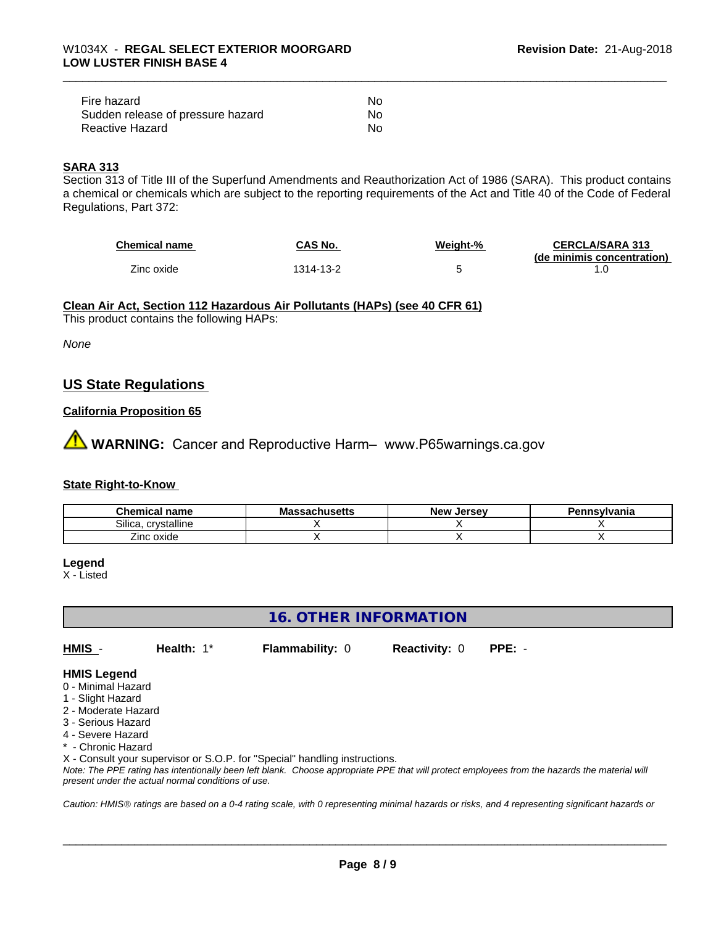| Fire hazard                       | Nο |
|-----------------------------------|----|
| Sudden release of pressure hazard | Nο |
| Reactive Hazard                   | No |

## **SARA 313**

Section 313 of Title III of the Superfund Amendments and Reauthorization Act of 1986 (SARA). This product contains a chemical or chemicals which are subject to the reporting requirements of the Act and Title 40 of the Code of Federal Regulations, Part 372:

| <b>Chemical name</b> | CAS No.  | Weight-% | <b>CERCLA/SARA 313</b>     |
|----------------------|----------|----------|----------------------------|
|                      |          |          | (de minimis concentration) |
| Zinc oxide           | 314-13-2 |          |                            |

**Clean Air Act,Section 112 Hazardous Air Pollutants (HAPs) (see 40 CFR 61)**

This product contains the following HAPs:

*None*

# **US State Regulations**

## **California Proposition 65**

**AN** WARNING: Cancer and Reproductive Harm– www.P65warnings.ca.gov

#### **State Right-to-Know**

| Chemical<br>name           | - -<br>-aulluscus | <b>Jersev</b><br><b>Nev</b> | <b>`nsvlvania</b> |
|----------------------------|-------------------|-----------------------------|-------------------|
| Silica.<br><br>crystalline |                   |                             |                   |
| Zinc oxide                 |                   |                             |                   |

**Legend**

X - Listed

# **16. OTHER INFORMATION**

**HMIS** - **Health:** 1\* **Flammability:** 0 **Reactivity:** 0 **PPE:** -

 $\overline{\phantom{a}}$  ,  $\overline{\phantom{a}}$  ,  $\overline{\phantom{a}}$  ,  $\overline{\phantom{a}}$  ,  $\overline{\phantom{a}}$  ,  $\overline{\phantom{a}}$  ,  $\overline{\phantom{a}}$  ,  $\overline{\phantom{a}}$  ,  $\overline{\phantom{a}}$  ,  $\overline{\phantom{a}}$  ,  $\overline{\phantom{a}}$  ,  $\overline{\phantom{a}}$  ,  $\overline{\phantom{a}}$  ,  $\overline{\phantom{a}}$  ,  $\overline{\phantom{a}}$  ,  $\overline{\phantom{a}}$ 

#### **HMIS Legend**

- 0 Minimal Hazard
- 1 Slight Hazard
- 2 Moderate Hazard
- 3 Serious Hazard
- 4 Severe Hazard
- **Chronic Hazard**

X - Consult your supervisor or S.O.P. for "Special" handling instructions.

*Note: The PPE rating has intentionally been left blank. Choose appropriate PPE that will protect employees from the hazards the material will present under the actual normal conditions of use.*

*Caution: HMISÒ ratings are based on a 0-4 rating scale, with 0 representing minimal hazards or risks, and 4 representing significant hazards or*